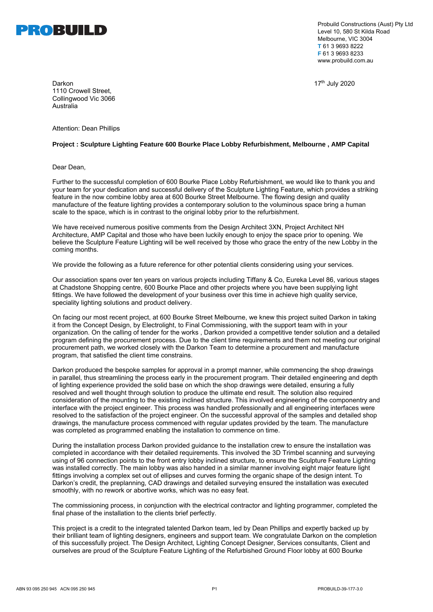

Probuild Constructions (Aust) Pty Ltd Level 10, 580 St Kilda Road Melbourne, VIC 3004 **T** 61 3 9693 8222 **F** 61 3 9693 8233 [www.probuild.com.au](http://www.probuild.com.au/)

Darkon 17th July 2020 1110 Crowell Street, Collingwood Vic 3066 Australia

Attention: Dean Phillips

## **Project : Sculpture Lighting Feature 600 Bourke Place Lobby Refurbishment, Melbourne , AMP Capital**

Dear Dean,

Further to the successful completion of 600 Bourke Place Lobby Refurbishment, we would like to thank you and your team for your dedication and successful delivery of the Sculpture Lighting Feature, which provides a striking feature in the now combine lobby area at 600 Bourke Street Melbourne. The flowing design and quality manufacture of the feature lighting provides a contemporary solution to the voluminous space bring a human scale to the space, which is in contrast to the original lobby prior to the refurbishment.

We have received numerous positive comments from the Design Architect 3XN, Project Architect NH Architecture, AMP Capital and those who have been luckily enough to enjoy the space prior to opening. We believe the Sculpture Feature Lighting will be well received by those who grace the entry of the new Lobby in the coming months.

We provide the following as a future reference for other potential clients considering using your services.

Our association spans over ten years on various projects including Tiffany & Co, Eureka Level 86, various stages at Chadstone Shopping centre, 600 Bourke Place and other projects where you have been supplying light fittings. We have followed the development of your business over this time in achieve high quality service, speciality lighting solutions and product delivery.

On facing our most recent project, at 600 Bourke Street Melbourne, we knew this project suited Darkon in taking it from the Concept Design, by Electrolight, to Final Commissioning, with the support team with in your organization. On the calling of tender for the works , Darkon provided a competitive tender solution and a detailed program defining the procurement process. Due to the client time requirements and them not meeting our original procurement path, we worked closely with the Darkon Team to determine a procurement and manufacture program, that satisfied the client time constrains.

Darkon produced the bespoke samples for approval in a prompt manner, while commencing the shop drawings in parallel, thus streamlining the process early in the procurement program. Their detailed engineering and depth of lighting experience provided the solid base on which the shop drawings were detailed, ensuring a fully resolved and well thought through solution to produce the ultimate end result. The solution also required consideration of the mounting to the existing inclined structure. This involved engineering of the componentry and interface with the project engineer. This process was handled professionally and all engineering interfaces were resolved to the satisfaction of the project engineer. On the successful approval of the samples and detailed shop drawings, the manufacture process commenced with regular updates provided by the team. The manufacture was completed as programmed enabling the installation to commence on time.

During the installation process Darkon provided guidance to the installation crew to ensure the installation was completed in accordance with their detailed requirements. This involved the 3D Trimbel scanning and surveying using of 96 connection points to the front entry lobby inclined structure, to ensure the Sculpture Feature Lighting was installed correctly. The main lobby was also handed in a similar manner involving eight major feature light fittings involving a complex set out of ellipses and curves forming the organic shape of the design intent. To Darkon's credit, the preplanning, CAD drawings and detailed surveying ensured the installation was executed smoothly, with no rework or abortive works, which was no easy feat.

The commissioning process, in conjunction with the electrical contractor and lighting programmer, completed the final phase of the installation to the clients brief perfectly.

This project is a credit to the integrated talented Darkon team, led by Dean Phillips and expertly backed up by their brilliant team of lighting designers, engineers and support team. We congratulate Darkon on the completion of this successfully project. The Design Architect, Lighting Concept Designer, Services consultants, Client and ourselves are proud of the Sculpture Feature Lighting of the Refurbished Ground Floor lobby at 600 Bourke